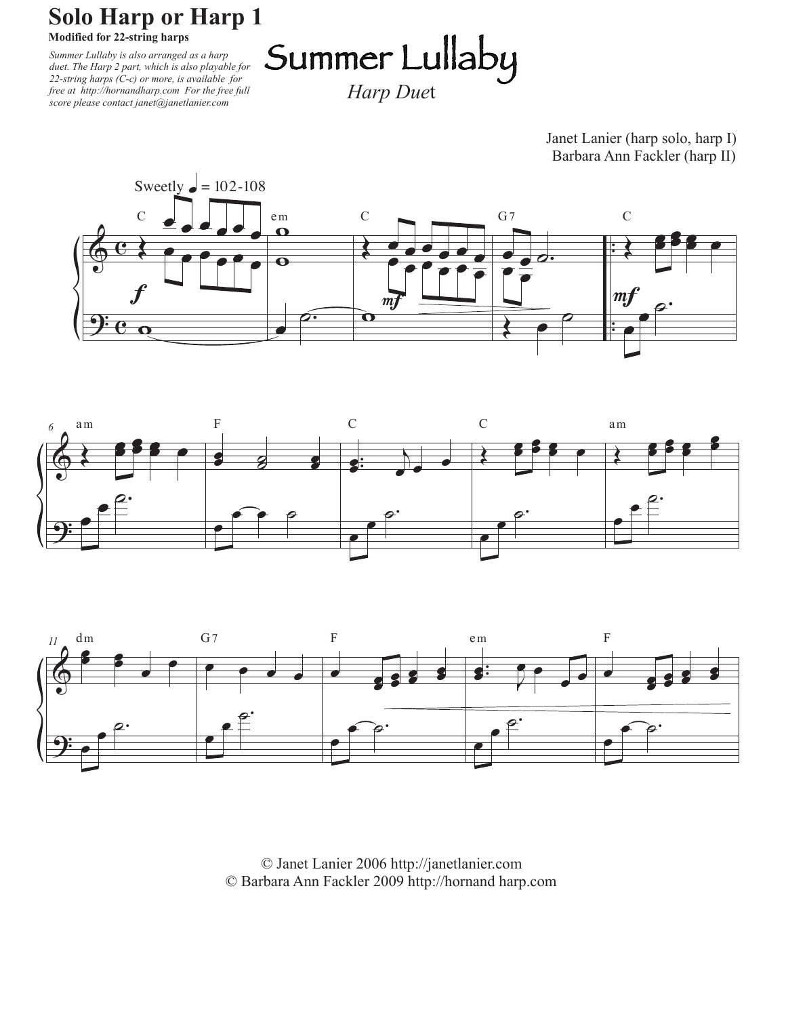## **Solo Harp or Harp 1**

**Modified for 22-string harps**

*Summer Lullaby is also arranged as a harp duet. The Harp 2 part, which is also playable for 22-string harps (C-c) or more, is available for free at http://hornandharp.com For the free full score please contact janet@janetlanier.com*

Summer Lullaby

*Harp Due*t

Janet Lanier (harp solo, harp I) Barbara Ann Fackler (harp II)







© Janet Lanier 2006 http://janetlanier.com © Barbara Ann Fackler 2009 http://hornand harp.com